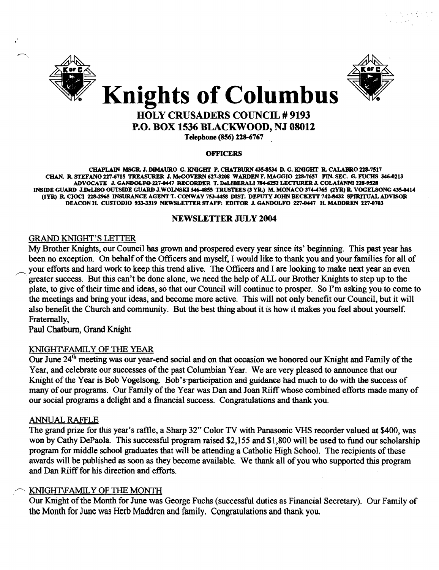



## HOLY CRUSADERS COUNCIL # 9193 P.O. BOX 1536 BLACKWOOD, NJ 08012

Telephone (856) 228-6767

#### **OFFICERS**

CHAPLAIN MSGR. J. DIMAURO G. KNIGHT P. CHATBURN 435-8534 D. G. KNIGHT R. CALABRO 228-7517 CHAN. R. STEFANO 227-6715 TREASURER J. McGOVERN 627-3208 WARDEN F. MAGGIO 228-7657 FIN. SEC. G. FUCHS 346-0213 ADVOCATE J. GANDOLFO 227-0447 RECORDER T. DeLIBERALI 784-6252 LECTURER J. COLAIANNI 228-9528 INSIDE GUARD J.DeLISO OUTSIDE GUARD J.WOLNSKl346-48SS TRUSTEES (3 YR.) M. MONACO 374-476S (2YR) R. VOGELSONG 435-0414 (IYR) R. CIOCI 228-296S INSURANCE AGENT T. CONWAY 753-4458 DIST. DEPUTY JOHN BECKETT 742-8432 SPIRITUAL ADVISOR DEACON H. CUSTODIO 933-3319 NEWSLETTER STAFF: EDITOR J. GANDOLFO 227-0447 H. MADDREN 227-0703

## NEWSLETTER JULy 2004

## GRAND KNIGHT'S LETTER

My Brother Knights, our Council has grown and prospered every year since its' beginning. This past year has been no exception. On behalf of the Officers and myself, I would like to thank you and your families for all of your efforts and hard work to keep this trend alive. The Officers and I are looking to make next year an even greater success. But this can't be done alone, we need the help of ALL our Brother Knights to step up to the plate, to give of their time and ideas, so that our Council will continue to prosper. So I'm asking you to come to the meetings and bring your ideas, and become more active. This will not only benefit our Council, but it will also benefit the Church and community. But the best thing about it is how it makes you feel about yourself. Fraternally,

Paul Chatburn, Grand Knight

## KNIGHT\FAMILY OF THE YEAR

Our June 24<sup>th</sup> meeting was our year-end social and on that occasion we honored our Knight and Family of the Year, and celebrate our successes of the past Columbian Year. We are very pleased to announce that our Knight of the Year is Bob Vogelsong. Bob's-participation and guidance had much to do with the success of many of our programs. Our Family of the Year was Dan and Joan Riiff whose combined efforts made many of our social programs a delight and a financial success. Congratulations and thank you.

## ANNUAL RAFFLE

The grand prize for this year's raffle, a Sharp 32" Color TV with Panasonic VHS recorder valued at \$400, was won by Cathy DePaola. This successful program raised \$2,155 and \$1,800 will be used to fund our scholarship program for middle school graduates that will be attending a Catholic High School. The recipients of these awards will be published as soon as they become available. We thank all of you who supported this program and Dan Riiff for his direction and efforts.

## KNIGHT\FAMILY OF THE MONTH

Our Knight of the Month for June was George Fuchs (successful duties as Financial Secretary). Our Family of the Month for June was Herb Maddren and family. Congratulations and thank you.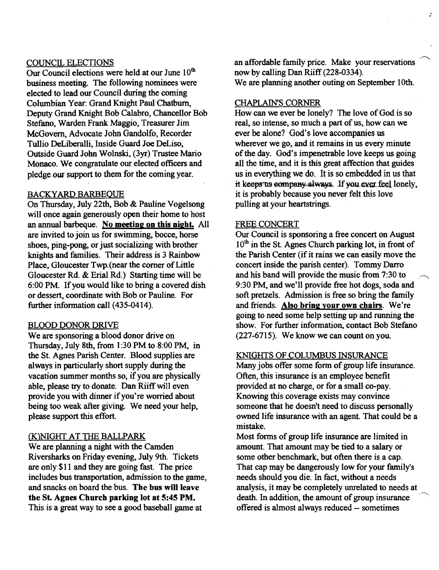## COUNCIL ELECTIONS

Our Council elections were held at our June  $10<sup>th</sup>$ business meeting. The following nominees were elected to lead our Council during the coming Columbian Year: Grand Knight Paul Chatburn. Deputy Grand Knight Bob Calabro, Chancellor Bob Stefano, Warden Frank Maggio, Treasurer Jim McGovern, Advocate John Gandolfo, Recorder Tullio DeLiberalli, Inside Guard Joe DeLiso, Outside Guard John Wolnski, (3yr) Trustee Mario Monaco. We congratulate our elected officers and pledge our support to them for the coming year.

### BACKYARD BARBEOUE

On Thursday, July 22th, Bob & Pauline Vogelsong will once again generously open their home to host an annual barbeque. No meeting on this night. All are invited to join us for swimming, bocce, horse shoes, ping-pong, or just socializing with brother knights and families. Their address is 3 Rainbow Place, Gloucester Twp.(near the corner of Little Gloucester Rd. & Erial Rd.) Starting time will be 6:00 PM. If you would like to bring a covered dish or dessert, coordinate with Bob or Pauline. For further information call (435-0414).

#### BLOOD DONOR DRIVE

We are sponsoring a blood donor drive on Thursday, July 8th, from 1:30 PM to 8:00 PM, in the St. Agnes Parish Center. Blood supplies are always in particularly short supply during the vacation summer months so, if you are physically able, please try to donate. Dan Riiff will even provide you with dinner ifyou're worried about being too weak after giving. We need your help, please support this effort.

## (K.)NIGHT AT THE BALLPARK

We are planning a night with the Camden Riversharks on Friday evening, July 9th. Tickets are only \$11 and they are going fast. The price includes bus transportation, admission to the game, and snacks on board the bus. The bus will leave the St. Agnes Church parking lot at 5:45 PM. This is a great way to see a good baseball game at

an affordable family price. Make your reservations now by calling Dan Riiff (228-0334). We are planning another outing on September 10th.

,  $\epsilon$ 

## CHAPLAIN'S CORNER

How can we ever be lonely? The love of God is so real, so intense, so much a part of us, how can we ever be alone? God's love accompanies us wherever we go, and it remains in us every minute of the day. God's impenetrable love keeps us going all the time, and it is this great affection that guides us in everything we do. It is so embedded in us that it keeps us company always. If you ever feel lonely, it is probably because you never felt this love pulling at your heartstrings.

#### FREE CONCERT

Our Council is sponsoring a free concert on August 10<sup>th</sup> in the St. Agnes Church parking lot, in front of the Parish Center (if it rains we can easily move the concert inside the parish center). Tommy Darro and his band will provide the music from 7:30 to. 9:30 PM, and we'll provide free hot dogs, soda and soft pretzels. Admission is free so bring the family and friends. Also bring your own chairs. We're going to need some help setting up and running the show. For further information, contact Bob Stefano (227-6715). We know we can count on you.

#### KNIGHTS OF COLUMBUS INSURANCE

Many jobs offer some form of group life insurance. Often, this insurance is an employee benefit provided at no charge, or for a small co-pay. Knowing this coverage exists may convince someone that he doesn't need to discuss personally owned life insurance with an agent. That could be a mistake.

Most forms of group life insurance are limited in amount. That amount may be tied to a salary or some other benchmark, but often there is a cap. That cap may be dangerously low for your family's needs should you die. In fact, without a needs analysis, it may be completely unrelated to needs at death. In addition, the amount of group insurance offered is almost always reduced -- sometimes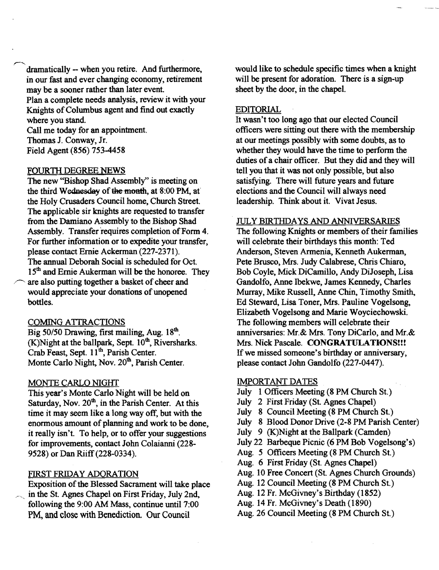dramatically -- when you retire. And furthermore, in our fast and ever changing economy, retirement may be a sooner rather than later event. Plan a complete needs analysis, review it with your Knights of Columbus agent and find out exactly where you stand.

Call me today for an appointment. Thomas J. Conway, Jr. Field Agent (856) 753-4458

#### FOURTII DEGREE NEWS

 $\overline{\phantom{0}}$ 

The new "Bishop Shad Assembly" is meeting on the third Wednesday of the month, at 8:00 PM, at the Holy Crusaders Council home, Church Street. The applicable sir knights are requested to transfer from the Damiano Assembly to the Bishop Shad Assembly. Transfer requires completion of Form 4. For further information or to expedite your transfer, please contact Ernie Ackerman (227-2371). The annual Deborah Social is scheduled for Oct. 15<sup>th</sup> and Ernie Aukerman will be the honoree. They are also putting together a basket of cheer and would appreciate your donations of unopened bottles.

#### COMING ATTRACTIONS

Big 50/50 Drawing, first mailing, Aug. 18<sup>th</sup>. (K)Night at the ballpark, Sept.  $10<sup>th</sup>$ , Riversharks. Crab Feast, Sept. 11<sup>th</sup>, Parish Center. Monte Carlo Night, Nov. 20<sup>th</sup>, Parish Center.

#### MONTE CARLO NIGHT

This year's Monte Carlo Night will be held on Saturday, Nov. 20<sup>th</sup>, in the Parish Center. At this time it may seem like a long way off, but with the enormous amount of planning and work to be done, it really isn't. To help, or to offer your suggestions for improvements, contact John Colaianni (228 9528) or Dan Riiff (228-0334).

## FIRST FRIDAY ADORATION

Exposition of the Blessed Sacrament will take place in the St. Agnes Chapel on First Friday, July 2nd, following the 9:00 AM Mass, continue until 7:00 PM, and close with Benediction. Our Council

would like to schedule specific times when a knight will be present for adoration. There is a sign-up sheet by the door, in the chapel.

#### EDITORIAL

It wasn't too long ago that our elected Council officers were sitting out there with the membership at our meetings possibly with some doubts, as to whether they would have the time to perform the duties of a chair officer. But they did and they will tell you that it was not only possible, but also satisfying. There will future years and future elections and the Council will always need leadership. Think about it. Vivat Jesus.

#### JULY BIRTIIDA YS AND ANNIVERSARIES

The following Knights or members of their families will celebrate their birthdays this month: Ted Anderson, Steven Armenia, Kenneth Aukerman, Pete Brusco, Mrs. Judy Calabrese, Chris Chiaro, Bob Coyle, Mick DiCamillo, Andy DiJoseph, Lisa Gandolfo, Anne Ibekwe, James Kennedy, Charles Murray, Mike Russell, Anne Chin, Timothy Smith, Ed Steward, Lisa Toner, Mrs. Pauline Vogelsong, Elizabeth Vogelsong and Marie Woyciechowski. The following members will celebrate their anniversaries: Mr.& Mrs. Tony DiCarlo, and Mr.& Mrs. Nick Pascale. CONGRATULATIONS!!! If we missed someone's birthday or anniversary, please contact John Gandolfo (227-0447).

#### **IMPORTANT DATES**

- July 1 Officers Meeting (8 PM Church St.)
- July 2 First Friday (St. Agnes Chapel)
- July 8 Council Meeting (8 PM Church St.)
- July 8 Blood Donor Drive (2-8 PM Parish Center)
- July 9 (K)Night at the Ballpark (Camden)
- July 22 Barbeque Picnic (6 PM Bob Vogelsong's)
- Aug. 5 Officers Meeting (8 PM Church St.)
- Aug. 6 First Friday (St. Agnes Chapel)
- Aug. 10 Free Concert (St. Agnes Church Grounds)
- Aug. 12 Council Meeting (8 PM Church St.)
- Aug. 12 Fr. McGivney's Birthday (1852)
- Aug. 14 Fr. McGivney's Death (1890)
- Aug. 26 Council Meeting (8 PM Church St.)